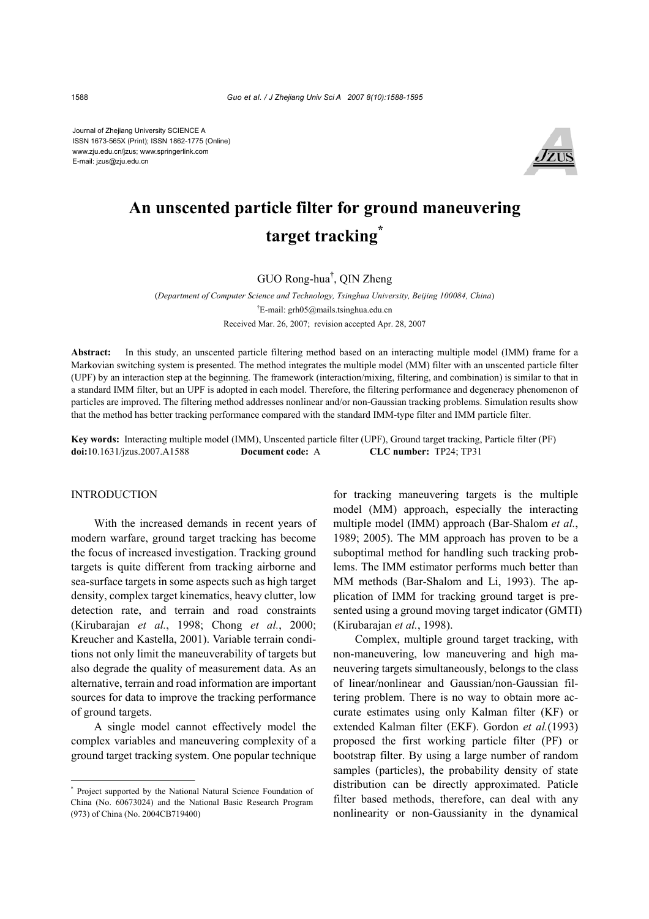Journal of Zhejiang University SCIENCE A ISSN 1673-565X (Print); ISSN 1862-1775 (Online) www.zju.edu.cn/jzus; www.springerlink.com E-mail: jzus@zju.edu.cn



# **An unscented particle filter for ground maneuvering target tracking\***

GUO Rong-hua† , QIN Zheng

(*Department of Computer Science and Technology, Tsinghua University, Beijing 100084, China*) † E-mail: grh05@mails.tsinghua.edu.cn Received Mar. 26, 2007; revision accepted Apr. 28, 2007

**Abstract:** In this study, an unscented particle filtering method based on an interacting multiple model (IMM) frame for a Markovian switching system is presented. The method integrates the multiple model (MM) filter with an unscented particle filter (UPF) by an interaction step at the beginning. The framework (interaction/mixing, filtering, and combination) is similar to that in a standard IMM filter, but an UPF is adopted in each model. Therefore, the filtering performance and degeneracy phenomenon of particles are improved. The filtering method addresses nonlinear and/or non-Gaussian tracking problems. Simulation results show that the method has better tracking performance compared with the standard IMM-type filter and IMM particle filter.

**Key words:** Interacting multiple model (IMM), Unscented particle filter (UPF), Ground target tracking, Particle filter (PF) **doi:**10.1631/jzus.2007.A1588 **Document code:** A **CLC number:** TP24; TP31

## INTRODUCTION

With the increased demands in recent years of modern warfare, ground target tracking has become the focus of increased investigation. Tracking ground targets is quite different from tracking airborne and sea-surface targets in some aspects such as high target density, complex target kinematics, heavy clutter, low detection rate, and terrain and road constraints (Kirubarajan *et al.*, 1998; Chong *et al.*, 2000; Kreucher and Kastella, 2001). Variable terrain conditions not only limit the maneuverability of targets but also degrade the quality of measurement data. As an alternative, terrain and road information are important sources for data to improve the tracking performance of ground targets.

A single model cannot effectively model the complex variables and maneuvering complexity of a ground target tracking system. One popular technique for tracking maneuvering targets is the multiple model (MM) approach, especially the interacting multiple model (IMM) approach (Bar-Shalom *et al.*, 1989; 2005). The MM approach has proven to be a suboptimal method for handling such tracking problems. The IMM estimator performs much better than MM methods (Bar-Shalom and Li, 1993). The application of IMM for tracking ground target is presented using a ground moving target indicator (GMTI) (Kirubarajan *et al.*, 1998).

Complex, multiple ground target tracking, with non-maneuvering, low maneuvering and high maneuvering targets simultaneously, belongs to the class of linear/nonlinear and Gaussian/non-Gaussian filtering problem. There is no way to obtain more accurate estimates using only Kalman filter (KF) or extended Kalman filter (EKF). Gordon *et al.*(1993) proposed the first working particle filter (PF) or bootstrap filter. By using a large number of random samples (particles), the probability density of state distribution can be directly approximated. Paticle filter based methods, therefore, can deal with any nonlinearity or non-Gaussianity in the dynamical

<sup>\*</sup> Project supported by the National Natural Science Foundation of China (No. 60673024) and the National Basic Research Program (973) of China (No. 2004CB719400)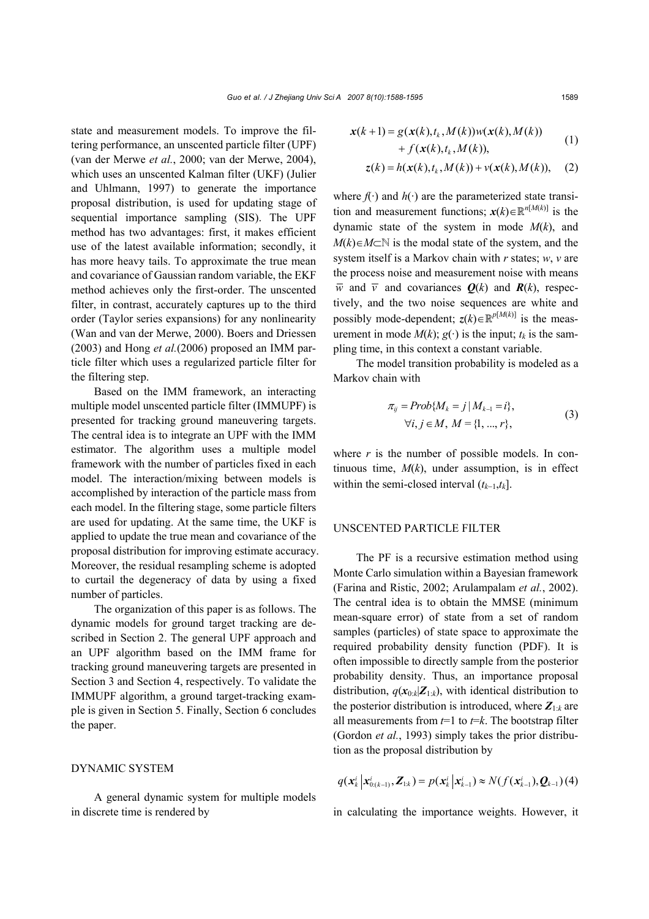state and measurement models. To improve the filtering performance, an unscented particle filter (UPF) (van der Merwe *et al.*, 2000; van der Merwe, 2004), which uses an unscented Kalman filter (UKF) (Julier and Uhlmann, 1997) to generate the importance proposal distribution, is used for updating stage of sequential importance sampling (SIS). The UPF method has two advantages: first, it makes efficient use of the latest available information; secondly, it has more heavy tails. To approximate the true mean and covariance of Gaussian random variable, the EKF method achieves only the first-order. The unscented filter, in contrast, accurately captures up to the third order (Taylor series expansions) for any nonlinearity (Wan and van der Merwe, 2000). Boers and Driessen (2003) and Hong *et al.*(2006) proposed an IMM particle filter which uses a regularized particle filter for the filtering step.

Based on the IMM framework, an interacting multiple model unscented particle filter (IMMUPF) is presented for tracking ground maneuvering targets. The central idea is to integrate an UPF with the IMM estimator. The algorithm uses a multiple model framework with the number of particles fixed in each model. The interaction/mixing between models is accomplished by interaction of the particle mass from each model. In the filtering stage, some particle filters are used for updating. At the same time, the UKF is applied to update the true mean and covariance of the proposal distribution for improving estimate accuracy. Moreover, the residual resampling scheme is adopted to curtail the degeneracy of data by using a fixed number of particles.

The organization of this paper is as follows. The dynamic models for ground target tracking are described in Section 2. The general UPF approach and an UPF algorithm based on the IMM frame for tracking ground maneuvering targets are presented in Section 3 and Section 4, respectively. To validate the IMMUPF algorithm, a ground target-tracking example is given in Section 5. Finally, Section 6 concludes the paper.

### DYNAMIC SYSTEM

A general dynamic system for multiple models in discrete time is rendered by

$$
\mathbf{x}(k+1) = g(\mathbf{x}(k), t_k, M(k))w(\mathbf{x}(k), M(k)) + f(\mathbf{x}(k), t_k, M(k)),
$$
\n(1)

$$
z(k) = h(x(k), t_k, M(k)) + v(x(k), M(k)), \quad (2)
$$

where  $f(\cdot)$  and  $h(\cdot)$  are the parameterized state transition and measurement functions;  $\mathbf{x}(k) \in \mathbb{R}^{n[M(k)]}$  is the dynamic state of the system in mode *M*(*k*), and  $M(k) \in M \subset \mathbb{N}$  is the modal state of the system, and the system itself is a Markov chain with *r* states; *w*, *v* are the process noise and measurement noise with means  $\overline{w}$  and  $\overline{v}$  and covariances  $Q(k)$  and  $R(k)$ , respectively, and the two noise sequences are white and possibly mode-dependent;  $z(k) \in \mathbb{R}^{p[M(k)]}$  is the measurement in mode  $M(k)$ ;  $g(\cdot)$  is the input;  $t_k$  is the sampling time, in this context a constant variable.

The model transition probability is modeled as a Markov chain with

$$
\pi_{ij} = Prob\{M_k = j \mid M_{k-1} = i\},\tag{3}
$$
  

$$
\forall i, j \in M, M = \{1, ..., r\},
$$

where  $r$  is the number of possible models. In continuous time, *M*(*k*), under assumption, is in effect within the semi-closed interval (*tk*−1,*tk*].

#### UNSCENTED PARTICLE FILTER

The PF is a recursive estimation method using Monte Carlo simulation within a Bayesian framework (Farina and Ristic, 2002; Arulampalam *et al.*, 2002). The central idea is to obtain the MMSE (minimum mean-square error) of state from a set of random samples (particles) of state space to approximate the required probability density function (PDF). It is often impossible to directly sample from the posterior probability density. Thus, an importance proposal distribution,  $q(\mathbf{x}_{0:k}|\mathbf{Z}_{1:k})$ , with identical distribution to the posterior distribution is introduced, where  $Z_{1:k}$  are all measurements from  $t=1$  to  $t=k$ . The bootstrap filter (Gordon *et al.*, 1993) simply takes the prior distribution as the proposal distribution by

$$
q(\mathbf{x}_{k}^{i} | \mathbf{x}_{0:(k-1)}^{i}, \mathbf{Z}_{1:k}) = p(\mathbf{x}_{k}^{i} | \mathbf{x}_{k-1}^{i}) \approx N(f(\mathbf{x}_{k-1}^{i}), \mathbf{Q}_{k-1})
$$
(4)

in calculating the importance weights. However, it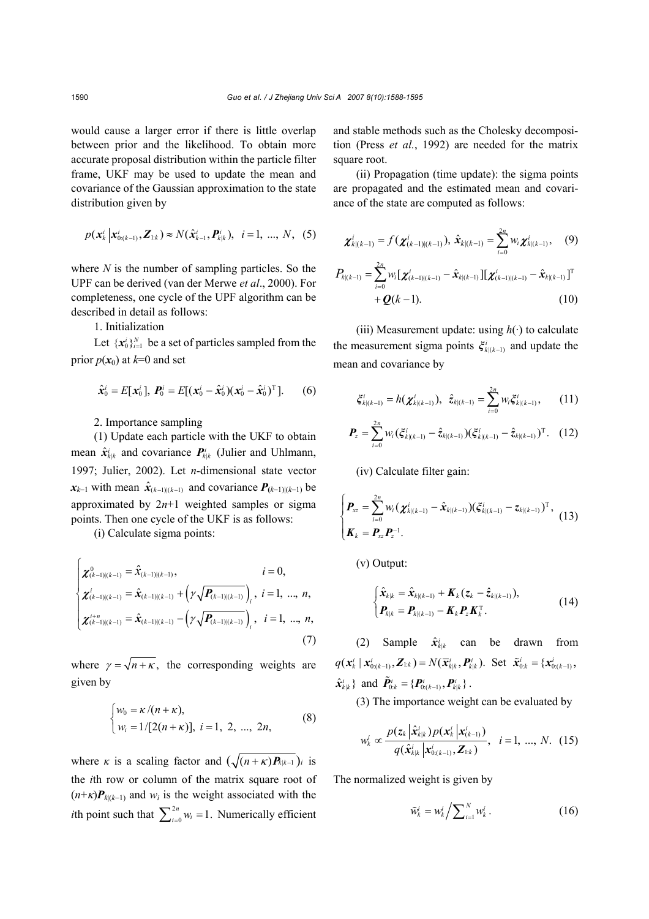would cause a larger error if there is little overlap between prior and the likelihood. To obtain more accurate proposal distribution within the particle filter frame, UKF may be used to update the mean and covariance of the Gaussian approximation to the state distribution given by

$$
p(\mathbf{x}_{k}^{i} | \mathbf{x}_{0:(k-1)}^{i}, \mathbf{Z}_{1:k}) \approx N(\hat{\mathbf{x}}_{k-1}^{i}, \mathbf{P}_{k|k}^{i}), i = 1, ..., N, (5)
$$

where *N* is the number of sampling particles. So the UPF can be derived (van der Merwe *et al*., 2000). For completeness, one cycle of the UPF algorithm can be described in detail as follows:

## 1. Initialization

Let  $\{x_0^i\}_{i=1}^N$  be a set of particles sampled from the prior  $p(x_0)$  at  $k=0$  and set

$$
\hat{\mathbf{x}}_0^i = E[\mathbf{x}_0^i], \; \mathbf{P}_0^i = E[(\mathbf{x}_0^i - \hat{\mathbf{x}}_0^i)(\mathbf{x}_0^i - \hat{\mathbf{x}}_0^i)^T]. \quad (6)
$$

#### 2. Importance sampling

(1) Update each particle with the UKF to obtain mean  $\hat{\mathbf{x}}_{k|k}^i$  and covariance  $\mathbf{P}_{k|k}^i$  (Julier and Uhlmann, 1997; Julier, 2002). Let *n*-dimensional state vector  $x_{k-1}$  with mean  $\hat{x}_{(k-1)(k-1)}$  and covariance  $P_{(k-1)(k-1)}$  be approximated by 2*n*+1 weighted samples or sigma points. Then one cycle of the UKF is as follows:

(i) Calculate sigma points:

$$
\begin{cases}\n\boldsymbol{\chi}_{(k-1)|(k-1)}^{0} = \hat{\boldsymbol{x}}_{(k-1)|(k-1)}, & i = 0, \\
\boldsymbol{\chi}_{(k-1)|(k-1)}^{i} = \hat{\boldsymbol{x}}_{(k-1)|(k-1)} + \left(\gamma \sqrt{\boldsymbol{P}_{(k-1)|(k-1)}}\right)_i, & i = 1, ..., n, \\
\boldsymbol{\chi}_{(k-1)|(k-1)}^{i+n} = \hat{\boldsymbol{x}}_{(k-1)|(k-1)} - \left(\gamma \sqrt{\boldsymbol{P}_{(k-1)|(k-1)}}\right)_i, & i = 1, ..., n,\n\end{cases}
$$
\n(7)

where  $\gamma = \sqrt{n + \kappa}$ , the corresponding weights are given by

$$
\begin{cases} w_0 = \kappa / (n + \kappa), \\ w_i = 1 / [2(n + \kappa)], \ i = 1, \ 2, \ ..., \ 2n, \end{cases}
$$
 (8)

where *κ* is a scaling factor and  $(\sqrt{(n+\kappa)P_{k|k-1}})$ *i* is the *i*th row or column of the matrix square root of  $(n+\kappa)P_{k(k-1)}$  and  $w_i$  is the weight associated with the *i*th point such that  $\sum_{i=0}^{2n} w_i = 1$ . Numerically efficient and stable methods such as the Cholesky decomposition (Press *et al.*, 1992) are needed for the matrix square root.

(ii) Propagation (time update): the sigma points are propagated and the estimated mean and covariance of the state are computed as follows:

$$
\boldsymbol{\chi}_{k|(k-1)}^i = f(\boldsymbol{\chi}_{(k-1)|(k-1)}^i), \ \hat{\boldsymbol{\chi}}_{k|(k-1)} = \sum_{i=0}^{2n} w_i \boldsymbol{\chi}_{k|(k-1)}^i, \tag{9}
$$
\n
$$
P_{k|(k-1)} = \sum_{i=0}^{2n} w_i [\boldsymbol{\chi}_{(k-1)|(k-1)}^i - \hat{\boldsymbol{\chi}}_{k|(k-1)}] [\boldsymbol{\chi}_{(k-1)|(k-1)}^i - \hat{\boldsymbol{\chi}}_{k|(k-1)}^i]^{\mathrm{T}} + \boldsymbol{Q}(k-1). \tag{10}
$$

(iii) Measurement update: using  $h(\cdot)$  to calculate the measurement sigma points  $\xi_{k(k-1)}$  and update the mean and covariance by

$$
\xi_{k|(k-1)}^i = h(\chi_{k|(k-1)}^i), \ \ \hat{z}_{k|(k-1)} = \sum_{i=0}^{2n} w_i \xi_{k|(k-1)}^i, \qquad (11)
$$

$$
\boldsymbol{P}_{z} = \sum_{i=0}^{2n} w_{i} (\xi_{k|(k-1)}^{i} - \hat{z}_{k|(k-1)}) (\xi_{k|(k-1)}^{i} - \hat{z}_{k|(k-1)})^{\mathrm{T}}. (12)
$$

(iv) Calculate filter gain:

$$
\begin{cases}\nP_{xz} = \sum_{i=0}^{2n} w_i (\chi_{k|(k-1)}^i - \hat{x}_{k|(k-1)}) (\xi_{k|(k-1)}^i - z_{k|(k-1)})^T, \\
K_k = P_{xz} P_z^{-1}.\n\end{cases}
$$
\n(13)

(v) Output:

$$
\begin{cases} \hat{\mathbf{x}}_{k|k} = \hat{\mathbf{x}}_{k|(k-1)} + \mathbf{K}_k (\mathbf{z}_k - \hat{\mathbf{z}}_{k|(k-1)}), \\ \mathbf{P}_{k|k} = \mathbf{P}_{k|(k-1)} - \mathbf{K}_k \mathbf{P}_z \mathbf{K}_k^{\mathrm{T}}. \end{cases}
$$
(14)

(2) Sample  $\hat{x}^i_{kk}$  can be drawn from  $q(\mathbf{x}_k^i | \mathbf{x}_{0:(k-1)}^i, \mathbf{Z}_{1:k}) = N(\bar{\mathbf{x}}_{k|k}^i, \mathbf{P}_{k|k}^i)$ . Set  $\tilde{\mathbf{x}}_{0:k}^i = \{x_{0:(k-1)}^i,$  $\hat{\mathbf{x}}_{k|k}^i$  and  $\tilde{\mathbf{P}}_{0:k}^i = \{\mathbf{P}_{0:(k-1)}^i, \mathbf{P}_{k|k}^i\}$ .

(3) The importance weight can be evaluated by

$$
w_k^i \propto \frac{p(z_k|\hat{\mathbf{x}}_{k|k}^i)p(\mathbf{x}_k^i|\mathbf{x}_{(k-1)}^i)}{q(\hat{\mathbf{x}}_{k|k}^i|\mathbf{x}_{0:(k-1)}^i,\mathbf{Z}_{1:k})}, \quad i = 1, ..., N.
$$
 (15)

The normalized weight is given by

$$
\tilde{w}_k^i = w_k^i / \sum_{i=1}^N w_k^i \,. \tag{16}
$$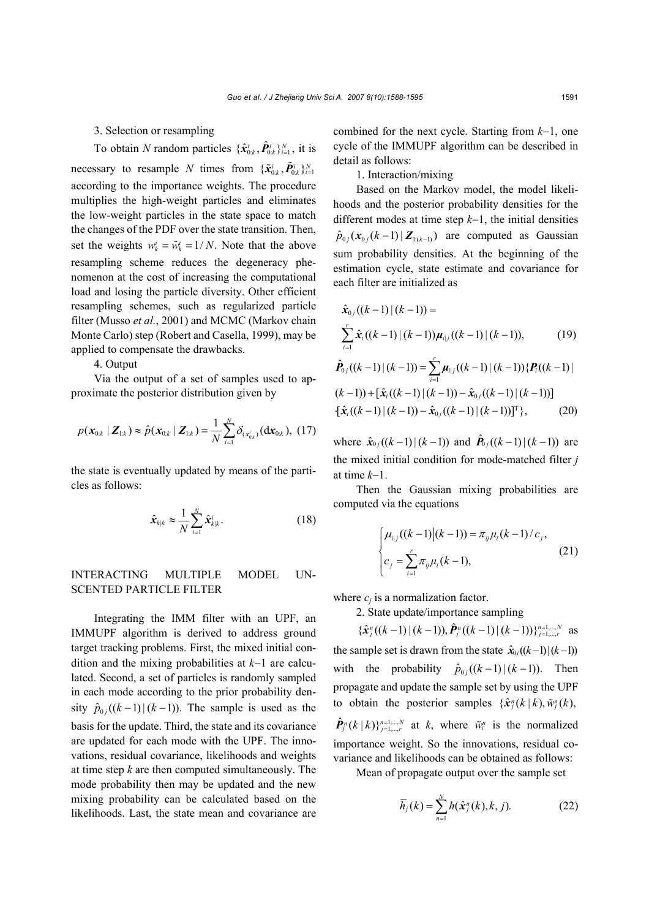3. Selection or resampling

To obtain *N* random particles  $\{\hat{\mathbf{x}}_{0:k}^i, \hat{\mathbf{P}}_{0:k}^i\}_{i=1}^N$ , it is necessary to resample *N* times from  $\{\tilde{\bm{x}}_{0:k}^i, \tilde{\bm{p}}_{0:k}^i\}_{i=1}^N$ according to the importance weights. The procedure multiplies the high-weight particles and eliminates the low-weight particles in the state space to match the changes of the PDF over the state transition. Then, set the weights  $w_k^i = \tilde{w}_k^i = 1/N$ . Note that the above resampling scheme reduces the degeneracy phenomenon at the cost of increasing the computational load and losing the particle diversity. Other efficient resampling schemes, such as regularized particle filter (Musso *et al.*, 2001) and MCMC (Markov chain Monte Carlo) step (Robert and Casella, 1999), may be applied to compensate the drawbacks.

4. Output

Via the output of a set of samples used to approximate the posterior distribution given by

$$
p(\mathbf{x}_{0:k} | \mathbf{Z}_{1:k}) \approx \hat{p}(\mathbf{x}_{0:k} | \mathbf{Z}_{1:k}) = \frac{1}{N} \sum_{i=1}^{N} \delta_{(\mathbf{x}_{0:k}^{i})}(\mathbf{dx}_{0:k}), (17)
$$

the state is eventually updated by means of the particles as follows:

$$
\hat{\mathbf{x}}_{k|k} \approx \frac{1}{N} \sum_{i=1}^{N} \hat{\mathbf{x}}_{k|k}^{i}.
$$
 (18)

## INTERACTING MULTIPLE MODEL UN-SCENTED PARTICLE FILTER

Integrating the IMM filter with an UPF, an IMMUPF algorithm is derived to address ground target tracking problems. First, the mixed initial condition and the mixing probabilities at *k*−1 are calculated. Second, a set of particles is randomly sampled in each mode according to the prior probability density  $\hat{p}_{0i}((k-1)|(k-1))$ . The sample is used as the basis for the update. Third, the state and its covariance are updated for each mode with the UPF. The innovations, residual covariance, likelihoods and weights at time step *k* are then computed simultaneously. The mode probability then may be updated and the new mixing probability can be calculated based on the likelihoods. Last, the state mean and covariance are

combined for the next cycle. Starting from *k*−1, one cycle of the IMMUPF algorithm can be described in detail as follows:

1. Interaction/mixing

Based on the Markov model, the model likelihoods and the posterior probability densities for the different modes at time step *k*−1, the initial densities  $\hat{p}_{0 i}(x_{0 i}(k-1) | \mathbf{Z}_{k(k-1)})$  are computed as Gaussian sum probability densities. At the beginning of the estimation cycle, state estimate and covariance for each filter are initialized as

$$
\hat{\mathbf{x}}_{0j}((k-1)|(k-1)) =
$$
\n
$$
\sum_{i=1}^{r} \hat{\mathbf{x}}_{i}((k-1)|(k-1))\boldsymbol{\mu}_{i|j}((k-1)|(k-1)), \qquad (19)
$$
\n
$$
\hat{\mathbf{P}}_{0j}((k-1)|(k-1)) = \sum_{i=1}^{r} \boldsymbol{\mu}_{i|j}((k-1)|(k-1)) \{ \mathbf{P}_{i}((k-1)|k-1) \} - \hat{\mathbf{x}}_{0j}((k-1)|(k-1)) \}
$$
\n
$$
[\hat{\mathbf{x}}_{i}((k-1)|(k-1)) - \hat{\mathbf{x}}_{0j}((k-1)|(k-1))]^{\mathrm{T}}\}, \qquad (20)
$$

where  $\hat{x}_{0j}((k-1)|(k-1))$  and  $\hat{P}_{0j}((k-1)|(k-1))$  are the mixed initial condition for mode-matched filter *j*  at time *k*−1.

Then the Gaussian mixing probabilities are computed via the equations

$$
\begin{cases} \mu_{i|j}((k-1)|(k-1)) = \pi_{ij}\mu_i(k-1)/c_j, \\ c_j = \sum_{i=1}^r \pi_{ij}\mu_i(k-1), \end{cases}
$$
 (21)

where  $c_i$  is a normalization factor.

2. State update/importance sampling

 $\{\hat{\mathbf{x}}_j^n((k-1) \mid (k-1)), \hat{\mathbf{P}}_j^n((k-1) \mid (k-1))\}_{j=1,\dots,r}^{n=1,\dots,N}$  as the sample set is drawn from the state  $\hat{x}_{0j}((k-1)|(k-1))$ with the probability  $\hat{p}_{0i}((k-1) | (k-1))$ . Then propagate and update the sample set by using the UPF to obtain the posterior samples  $\{\hat{\mathbf{x}}_i^n(k|k), \tilde{w}_i^n(k)\}$  $\hat{\mathbf{P}}_{j}^{n}(k | k)\right\}^{n=1,\dots,N}_{j=1,\dots,r}$  at *k*, where  $\tilde{w}_{i}^{n}$  is the normalized importance weight. So the innovations, residual covariance and likelihoods can be obtained as follows:

Mean of propagate output over the sample set

$$
\overline{h}_j(k) = \sum_{n=1}^{N} h(\hat{\mathbf{x}}_j^n(k), k, j).
$$
 (22)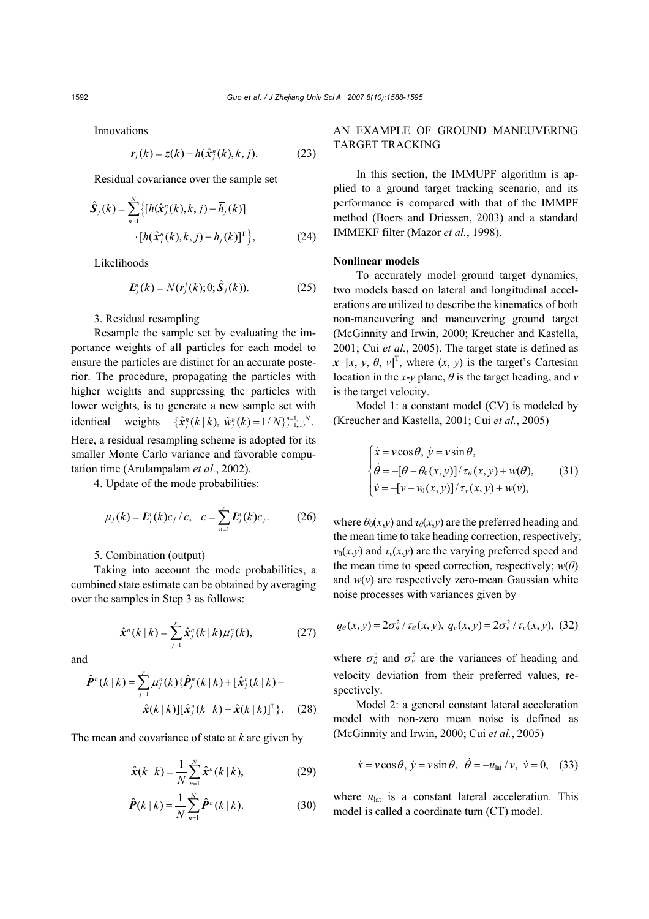Innovations

$$
\mathbf{r}_j(k) = \mathbf{z}(k) - h(\hat{\mathbf{x}}_j^n(k), k, j). \tag{23}
$$

Residual covariance over the sample set

$$
\hat{\mathbf{S}}_j(k) = \sum_{n=1}^N \left\{ \left[ h(\hat{\mathbf{x}}_j^n(k), k, j) - \overline{h}_j(k) \right] \right. \left. \left[ h(\hat{\mathbf{x}}_j^n(k), k, j) - \overline{h}_j(k) \right]^\mathrm{T} \right\},\tag{24}
$$

Likelihoods

$$
\boldsymbol{L}_{j}^{n}(k) = N(\boldsymbol{r}_{j}^{j}(k); 0; \hat{\boldsymbol{S}}_{j}(k)).
$$
 (25)

3. Residual resampling

Resample the sample set by evaluating the importance weights of all particles for each model to ensure the particles are distinct for an accurate posterior. The procedure, propagating the particles with higher weights and suppressing the particles with lower weights, is to generate a new sample set with identical weights  $\{\hat{\mathbf{x}}_j^n(k | k), \, \tilde{w}_j^n(k) = 1/N\}_{j=1,\dots,r}^{n=1,\dots,N}$ . Here, a residual resampling scheme is adopted for its smaller Monte Carlo variance and favorable computation time (Arulampalam *et al.*, 2002).

4. Update of the mode probabilities:

$$
\mu_j(k) = \mathbf{L}_j^n(k)c_j/c, \quad c = \sum_{n=1}^r \mathbf{L}_j^n(k)c_j.
$$
\n(26)

5. Combination (output)

Taking into account the mode probabilities, a combined state estimate can be obtained by averaging over the samples in Step 3 as follows:

$$
\hat{\mathbf{x}}^{n}(k|k) = \sum_{j=1}^{r} \hat{\mathbf{x}}_{j}^{n}(k|k)\mu_{j}^{n}(k), \qquad (27)
$$

and

$$
\hat{\boldsymbol{P}}^{n}(k | k) = \sum_{j=1}^{r} \mu_{j}^{n}(k) \{ \hat{\boldsymbol{P}}_{j}^{n}(k | k) + [\hat{\boldsymbol{x}}_{j}^{n}(k | k) - \hat{\boldsymbol{x}}_{k}^{n}(k | k)] \} \hat{\boldsymbol{x}}_{j}^{n}(k | k) - \hat{\boldsymbol{x}}_{k}^{n}(k | k)]^{T} \}.
$$
 (28)

The mean and covariance of state at *k* are given by

$$
\hat{\mathbf{x}}(k \mid k) = \frac{1}{N} \sum_{n=1}^{N} \hat{\mathbf{x}}^{n}(k \mid k),
$$
 (29)

$$
\hat{\bm{P}}(k | k) = \frac{1}{N} \sum_{n=1}^{N} \hat{\bm{P}}^{n}(k | k). \tag{30}
$$

## AN EXAMPLE OF GROUND MANEUVERING TARGET TRACKING

In this section, the IMMUPF algorithm is applied to a ground target tracking scenario, and its performance is compared with that of the IMMPF method (Boers and Driessen, 2003) and a standard IMMEKF filter (Mazor *et al.*, 1998).

#### **Nonlinear models**

To accurately model ground target dynamics, two models based on lateral and longitudinal accelerations are utilized to describe the kinematics of both non-maneuvering and maneuvering ground target (McGinnity and Irwin, 2000; Kreucher and Kastella, 2001; Cui *et al.*, 2005). The target state is defined as  $\mathbf{x} = [x, y, \theta, v]^T$ , where  $(x, y)$  is the target's Cartesian location in the *x*-*y* plane,  $\theta$  is the target heading, and *v* is the target velocity.

Model 1: a constant model (CV) is modeled by (Kreucher and Kastella, 2001; Cui *et al.*, 2005)

$$
\begin{cases}\n\dot{x} = v\cos\theta, \ \dot{y} = v\sin\theta, \\
\dot{\theta} = -[\theta - \theta_0(x, y)] / \tau_\theta(x, y) + w(\theta), \\
\dot{v} = -[v - v_0(x, y)] / \tau_\nu(x, y) + w(v),\n\end{cases}
$$
\n(31)

where  $\theta_0(x, y)$  and  $\tau_\theta(x, y)$  are the preferred heading and the mean time to take heading correction, respectively;  $v_0(x, y)$  and  $\tau_v(x, y)$  are the varying preferred speed and the mean time to speed correction, respectively;  $w(\theta)$ and  $w(v)$  are respectively zero-mean Gaussian white noise processes with variances given by

$$
q_{\theta}(x, y) = 2\sigma_{\theta}^2 / \tau_{\theta}(x, y), q_{\nu}(x, y) = 2\sigma_{\nu}^2 / \tau_{\nu}(x, y), (32)
$$

where  $\sigma_{\theta}^2$  and  $\sigma_{\nu}^2$  are the variances of heading and velocity deviation from their preferred values, respectively.

Model 2: a general constant lateral acceleration model with non-zero mean noise is defined as (McGinnity and Irwin, 2000; Cui *et al.*, 2005)

$$
\dot{x} = v\cos\theta, \ \dot{y} = v\sin\theta, \ \ \dot{\theta} = -u_{\text{lat}}/v, \ \ \dot{v} = 0, \ \ (33)
$$

where  $u_{\text{lat}}$  is a constant lateral acceleration. This model is called a coordinate turn (CT) model.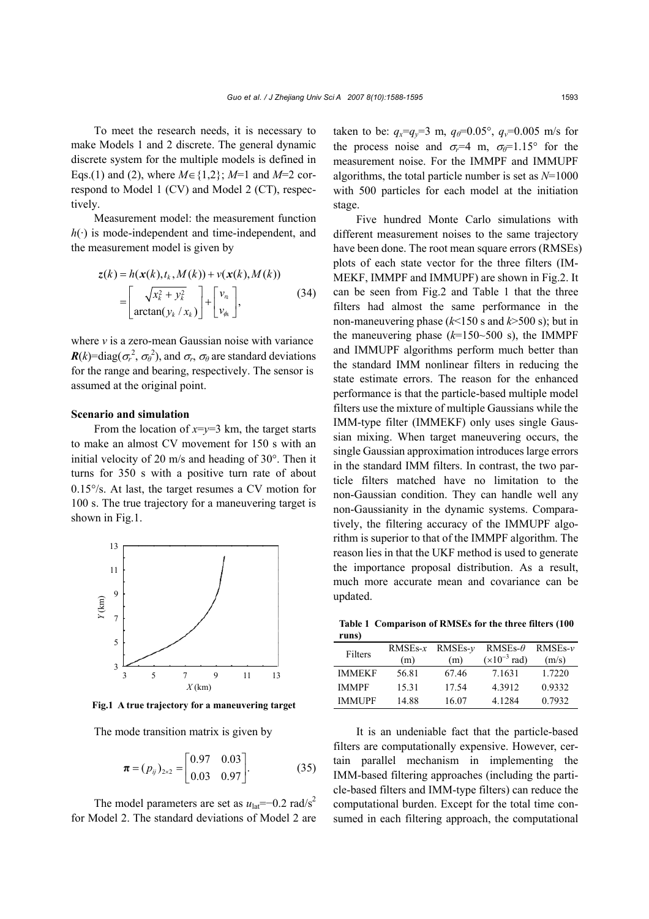To meet the research needs, it is necessary to make Models 1 and 2 discrete. The general dynamic discrete system for the multiple models is defined in Eqs.(1) and (2), where *M*∈{1,2}; *M*=1 and *M*=2 correspond to Model 1 (CV) and Model 2 (CT), respectively.

Measurement model: the measurement function  $h(\cdot)$  is mode-independent and time-independent, and the measurement model is given by

$$
z(k) = h(\mathbf{x}(k), t_k, M(k)) + v(\mathbf{x}(k), M(k))
$$
  
= 
$$
\begin{bmatrix} \sqrt{x_k^2 + y_k^2} \\ arctan(y_k / x_k) \end{bmatrix} + \begin{bmatrix} v_{r_k} \\ v_{\phi_k} \end{bmatrix},
$$
 (34)

where *v* is a zero-mean Gaussian noise with variance  $R(k)$ =diag( $\sigma_r^2$ ,  $\sigma_\theta^2$ ), and  $\sigma_r$ ,  $\sigma_\theta$  are standard deviations for the range and bearing, respectively. The sensor is assumed at the original point.

#### **Scenario and simulation**

From the location of  $x=y=3$  km, the target starts to make an almost CV movement for 150 s with an initial velocity of 20 m/s and heading of 30°. Then it turns for 350 s with a positive turn rate of about 0.15°/s. At last, the target resumes a CV motion for 100 s. The true trajectory for a maneuvering target is shown in Fig.1.



**Fig.1 A true trajectory for a maneuvering target**

The mode transition matrix is given by

$$
\boldsymbol{\pi} = (p_{ij})_{2 \times 2} = \begin{bmatrix} 0.97 & 0.03 \\ 0.03 & 0.97 \end{bmatrix} . \tag{35}
$$

The model parameters are set as  $u_{\text{lat}} = -0.2 \text{ rad/s}^2$ for Model 2. The standard deviations of Model 2 are taken to be:  $q_x = q_y = 3$  m,  $q_\theta = 0.05^\circ$ ,  $q_y = 0.005$  m/s for the process noise and  $\sigma_r = 4$  m,  $\sigma_\theta = 1.15^\circ$  for the measurement noise. For the IMMPF and IMMUPF algorithms, the total particle number is set as *N*=1000 with 500 particles for each model at the initiation stage.

Five hundred Monte Carlo simulations with different measurement noises to the same trajectory have been done. The root mean square errors (RMSEs) plots of each state vector for the three filters (IM-MEKF, IMMPF and IMMUPF) are shown in Fig.2. It can be seen from Fig.2 and Table 1 that the three filters had almost the same performance in the non-maneuvering phase (*k*<150 s and *k*>500 s); but in the maneuvering phase  $(k=150-500 \text{ s})$ , the IMMPF and IMMUPF algorithms perform much better than the standard IMM nonlinear filters in reducing the state estimate errors. The reason for the enhanced performance is that the particle-based multiple model filters use the mixture of multiple Gaussians while the IMM-type filter (IMMEKF) only uses single Gaussian mixing. When target maneuvering occurs, the single Gaussian approximation introduces large errors in the standard IMM filters. In contrast, the two particle filters matched have no limitation to the non-Gaussian condition. They can handle well any non-Gaussianity in the dynamic systems. Comparatively, the filtering accuracy of the IMMUPF algorithm is superior to that of the IMMPF algorithm. The reason lies in that the UKF method is used to generate the importance proposal distribution. As a result, much more accurate mean and covariance can be updated.

**Table 1 Comparison of RMSEs for the three filters (100 runs)** 

| Filters       | $RMSEs-x$ | $RMSEs-v$ | RMSE <sub>s</sub> - $\theta$ | $RMSEs-v$ |
|---------------|-----------|-----------|------------------------------|-----------|
|               | (m)       | (m)       | $(x10^{-3} \text{ rad})$     | (m/s)     |
| <b>IMMEKF</b> | 56.81     | 67.46     | 7.1631                       | 1.7220    |
| <b>IMMPF</b>  | 15.31     | 17.54     | 4.3912                       | 0.9332    |
| <b>IMMUPF</b> | 14.88     | 16.07     | 4.1284                       | 0.7932    |

It is an undeniable fact that the particle-based filters are computationally expensive. However, certain parallel mechanism in implementing the IMM-based filtering approaches (including the particle-based filters and IMM-type filters) can reduce the computational burden. Except for the total time consumed in each filtering approach, the computational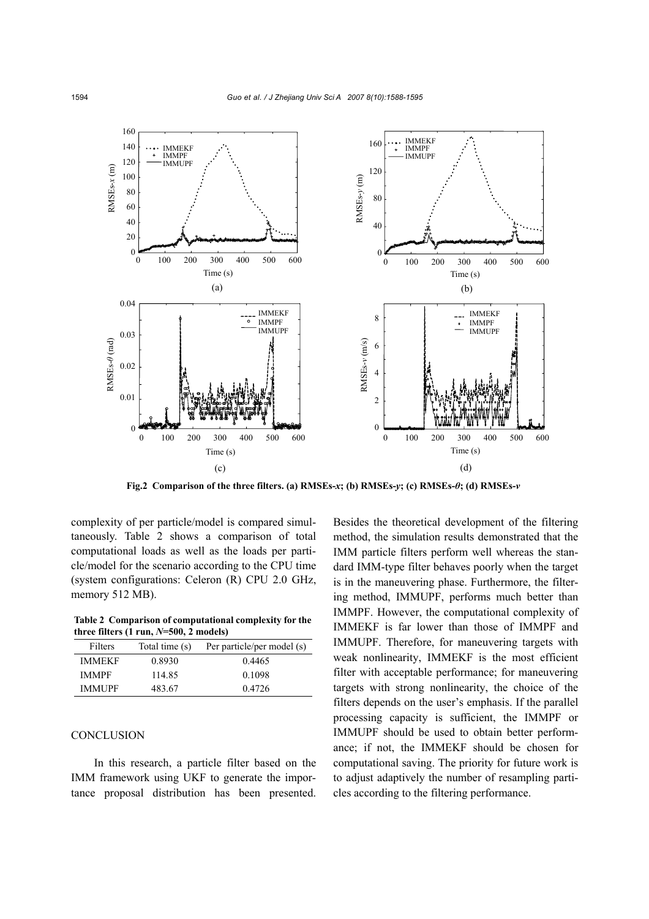

complexity of per particle/model is compared simultaneously. Table 2 shows a comparison of total computational loads as well as the loads per particle/model for the scenario according to the CPU time (system configurations: Celeron (R) CPU 2.0 GHz, memory 512 MB).

**Table 2 Comparison of computational complexity for the** three filters  $(1 \text{ run}, N=500, 2 \text{ models})$ 

| Filters       | Total time (s) | Per particle/per model (s) |
|---------------|----------------|----------------------------|
| <b>IMMEKF</b> | 0.8930         | 0.4465                     |
| <b>IMMPF</b>  | 114.85         | 0.1098                     |
| <b>IMMUPF</b> | 483.67         | 0.4726                     |

## **CONCLUSION**

In this research, a particle filter based on the IMM framework using UKF to generate the importance proposal distribution has been presented. Besides the theoretical development of the filtering method, the simulation results demonstrated that the IMM particle filters perform well whereas the standard IMM-type filter behaves poorly when the target is in the maneuvering phase. Furthermore, the filtering method, IMMUPF, performs much better than IMMPF. However, the computational complexity of IMMEKF is far lower than those of IMMPF and IMMUPF. Therefore, for maneuvering targets with weak nonlinearity, IMMEKF is the most efficient filter with acceptable performance; for maneuvering targets with strong nonlinearity, the choice of the filters depends on the user's emphasis. If the parallel processing capacity is sufficient, the IMMPF or IMMUPF should be used to obtain better performance; if not, the IMMEKF should be chosen for computational saving. The priority for future work is to adjust adaptively the number of resampling particles according to the filtering performance.